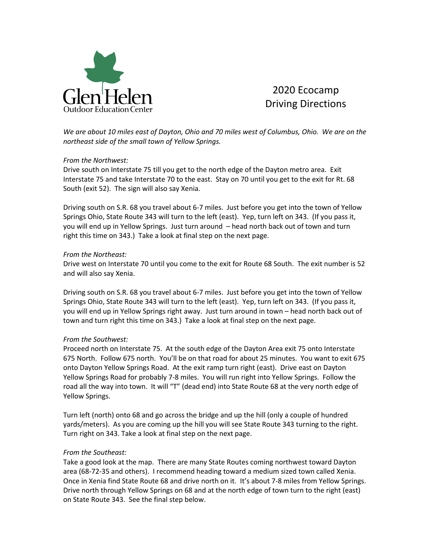

# 2020 Ecocamp Driving Directions

*We are about 10 miles east of Dayton, Ohio and 70 miles west of Columbus, Ohio. We are on the northeast side of the small town of Yellow Springs.* 

## *From the Northwest:*

Drive south on Interstate 75 till you get to the north edge of the Dayton metro area. Exit Interstate 75 and take Interstate 70 to the east. Stay on 70 until you get to the exit for Rt. 68 South (exit 52). The sign will also say Xenia.

Driving south on S.R. 68 you travel about 6-7 miles. Just before you get into the town of Yellow Springs Ohio, State Route 343 will turn to the left (east). Yep, turn left on 343. (If you pass it, you will end up in Yellow Springs. Just turn around – head north back out of town and turn right this time on 343.) Take a look at final step on the next page.

## *From the Northeast:*

Drive west on Interstate 70 until you come to the exit for Route 68 South. The exit number is 52 and will also say Xenia.

Driving south on S.R. 68 you travel about 6-7 miles. Just before you get into the town of Yellow Springs Ohio, State Route 343 will turn to the left (east). Yep, turn left on 343. (If you pass it, you will end up in Yellow Springs right away. Just turn around in town – head north back out of town and turn right this time on 343.) Take a look at final step on the next page.

## *From the Southwest:*

Proceed north on Interstate 75. At the south edge of the Dayton Area exit 75 onto Interstate 675 North. Follow 675 north. You'll be on that road for about 25 minutes. You want to exit 675 onto Dayton Yellow Springs Road. At the exit ramp turn right (east). Drive east on Dayton Yellow Springs Road for probably 7-8 miles. You will run right into Yellow Springs. Follow the road all the way into town. It will "T" (dead end) into State Route 68 at the very north edge of Yellow Springs.

Turn left (north) onto 68 and go across the bridge and up the hill (only a couple of hundred yards/meters). As you are coming up the hill you will see State Route 343 turning to the right. Turn right on 343. Take a look at final step on the next page.

## *From the Southeast:*

Take a good look at the map. There are many State Routes coming northwest toward Dayton area (68-72-35 and others). I recommend heading toward a medium sized town called Xenia. Once in Xenia find State Route 68 and drive north on it. It's about 7-8 miles from Yellow Springs. Drive north through Yellow Springs on 68 and at the north edge of town turn to the right (east) on State Route 343. See the final step below.